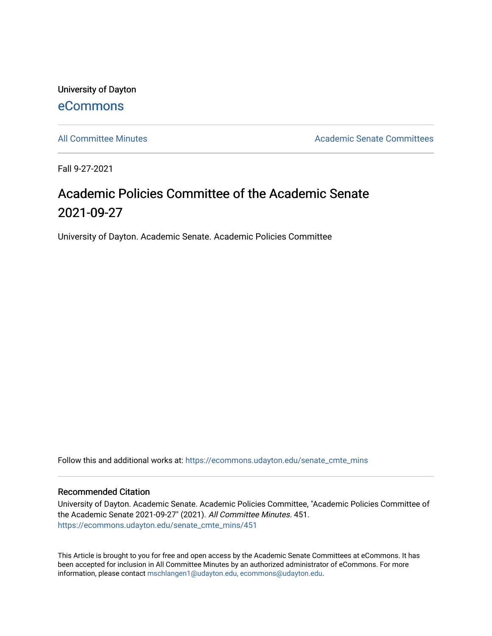University of Dayton [eCommons](https://ecommons.udayton.edu/)

[All Committee Minutes](https://ecommons.udayton.edu/senate_cmte_mins) **Academic Senate Committees** Academic Senate Committees

Fall 9-27-2021

## Academic Policies Committee of the Academic Senate 2021-09-27

University of Dayton. Academic Senate. Academic Policies Committee

Follow this and additional works at: [https://ecommons.udayton.edu/senate\\_cmte\\_mins](https://ecommons.udayton.edu/senate_cmte_mins?utm_source=ecommons.udayton.edu%2Fsenate_cmte_mins%2F451&utm_medium=PDF&utm_campaign=PDFCoverPages)

## Recommended Citation

University of Dayton. Academic Senate. Academic Policies Committee, "Academic Policies Committee of the Academic Senate 2021-09-27" (2021). All Committee Minutes. 451. [https://ecommons.udayton.edu/senate\\_cmte\\_mins/451](https://ecommons.udayton.edu/senate_cmte_mins/451?utm_source=ecommons.udayton.edu%2Fsenate_cmte_mins%2F451&utm_medium=PDF&utm_campaign=PDFCoverPages)

This Article is brought to you for free and open access by the Academic Senate Committees at eCommons. It has been accepted for inclusion in All Committee Minutes by an authorized administrator of eCommons. For more information, please contact [mschlangen1@udayton.edu, ecommons@udayton.edu](mailto:mschlangen1@udayton.edu,%20ecommons@udayton.edu).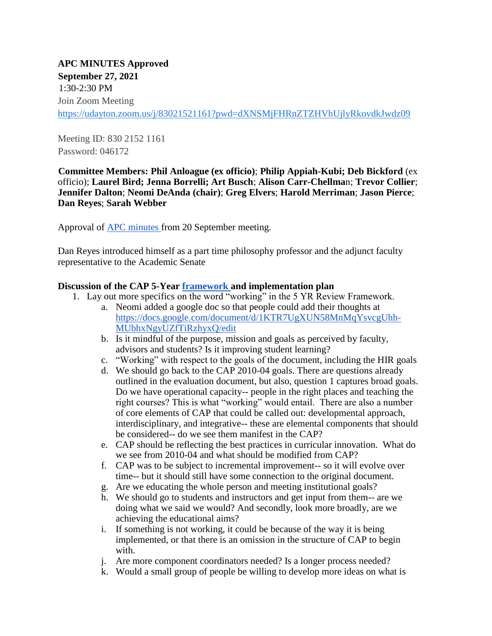**APC MINUTES Approved September 27, 2021**  1:30-2:30 PM Join Zoom Meeting https://udayton.zoom.us/j/83021521161?pwd=dXNSMjFHRnZTZHVhUjlyRkovdkJwdz09

Meeting ID: 830 2152 1161 Password: 046172

**Committee Members: Phil Anloague (ex officio)**; **Philip Appiah-Kubi; Deb Bickford** (ex officio); **Laurel Bird; Jenna Borrelli; Art Busch**; **Alison Carr-Chellma**n; **Trevor Collier**; **Jennifer Dalton**; **Neomi DeAnda (chair)**; **Greg Elvers**; **Harold Merriman**; **Jason Pierce**; **Dan Reyes**; **Sarah Webber** 

Approval of APC minutes from 20 September meeting.

Dan Reyes introduced himself as a part time philosophy professor and the adjunct faculty representative to the Academic Senate

## **Discussion of the CAP 5-Year framework and implementation plan**

- 1. Lay out more specifics on the word "working" in the 5 YR Review Framework.
	- a. Neomi added a google doc so that people could add their thoughts at [https://docs.google.com/document/d/1KTR7UgXUN58MnMqYsvcgUhh-](https://docs.google.com/document/d/1KTR7UgXUN58MnMqYsvcgUhh-MUbhxNgyUZfTiRzhyxQ/edit)[MUbhxNgyUZfTiRzhyxQ/edit](https://docs.google.com/document/d/1KTR7UgXUN58MnMqYsvcgUhh-MUbhxNgyUZfTiRzhyxQ/edit)
	- b. Is it mindful of the purpose, mission and goals as perceived by faculty, advisors and students? Is it improving student learning?
	- c. "Working" with respect to the goals of the document, including the HIR goals
	- d. We should go back to the CAP 2010-04 goals. There are questions already outlined in the evaluation document, but also, question 1 captures broad goals. Do we have operational capacity-- people in the right places and teaching the right courses? This is what "working" would entail. There are also a number of core elements of CAP that could be called out: developmental approach, interdisciplinary, and integrative-- these are elemental components that should be considered-- do we see them manifest in the CAP?
	- e. CAP should be reflecting the best practices in curricular innovation. What do we see from 2010-04 and what should be modified from CAP?
	- f. CAP was to be subject to incremental improvement-- so it will evolve over time-- but it should still have some connection to the original document.
	- g. Are we educating the whole person and meeting institutional goals?
	- h. We should go to students and instructors and get input from them-- are we doing what we said we would? And secondly, look more broadly, are we achieving the educational aims?
	- i. If something is not working, it could be because of the way it is being implemented, or that there is an omission in the structure of CAP to begin with.
	- j. Are more component coordinators needed? Is a longer process needed?
	- k. Would a small group of people be willing to develop more ideas on what is